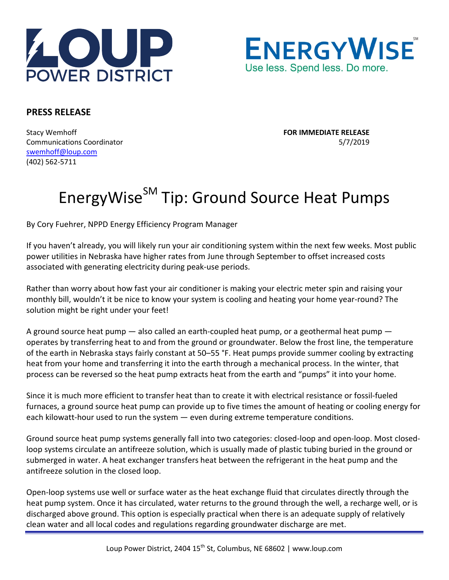



## **PRESS RELEASE**

Stacy Wemhoff **FOR IMMEDIATE RELEASE** Communications Coordinator 5/7/2019 [swemhoff@loup.com](mailto:swemhoff@loup.com)  (402) 562-5711

## EnergyWise<sup>SM</sup> Tip: Ground Source Heat Pumps

By Cory Fuehrer, NPPD Energy Efficiency Program Manager

If you haven't already, you will likely run your air conditioning system within the next few weeks. Most public power utilities in Nebraska have higher rates from June through September to offset increased costs associated with generating electricity during peak-use periods.

Rather than worry about how fast your air conditioner is making your electric meter spin and raising your monthly bill, wouldn't it be nice to know your system is cooling and heating your home year-round? The solution might be right under your feet!

A ground source heat pump — also called an earth-coupled heat pump, or a geothermal heat pump operates by transferring heat to and from the ground or groundwater. Below the frost line, the temperature of the earth in Nebraska stays fairly constant at 50–55 °F. Heat pumps provide summer cooling by extracting heat from your home and transferring it into the earth through a mechanical process. In the winter, that process can be reversed so the heat pump extracts heat from the earth and "pumps" it into your home.

Since it is much more efficient to transfer heat than to create it with electrical resistance or fossil-fueled furnaces, a ground source heat pump can provide up to five times the amount of heating or cooling energy for each kilowatt-hour used to run the system — even during extreme temperature conditions.

Ground source heat pump systems generally fall into two categories: closed-loop and open-loop. Most closedloop systems circulate an antifreeze solution, which is usually made of plastic tubing buried in the ground or submerged in water. A heat exchanger transfers heat between the refrigerant in the heat pump and the antifreeze solution in the closed loop.

Open-loop systems use well or surface water as the heat exchange fluid that circulates directly through the heat pump system. Once it has circulated, water returns to the ground through the well, a recharge well, or is discharged above ground. This option is especially practical when there is an adequate supply of relatively clean water and all local codes and regulations regarding groundwater discharge are met.